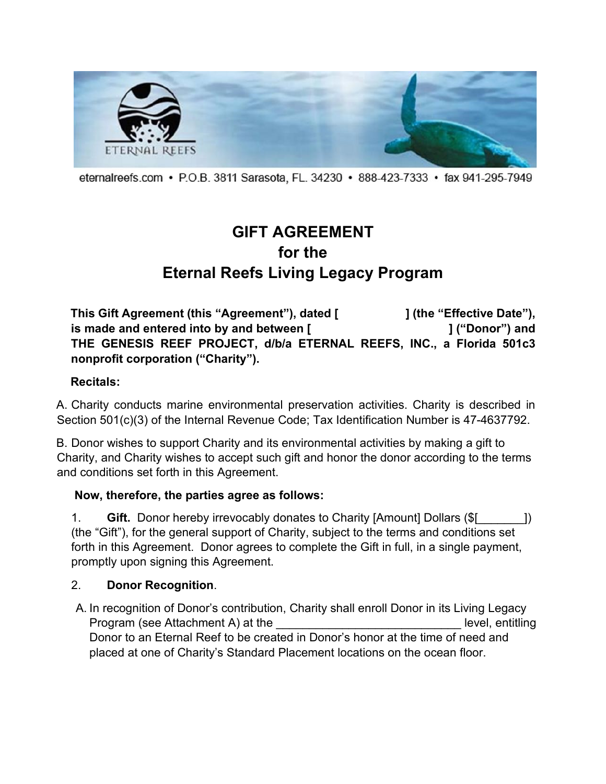

eternalreefs.com • P.O.B. 3811 Sarasota, FL. 34230 • 888-423-7333 • fax 941-295-7949

# **GIFT AGREEMENT for the Eternal Reefs Living Legacy Program**

**This Gift Agreement (this "Agreement"), dated [ ] (the "Effective Date"), is made and entered into by and between [**  $\blacksquare$  **] ("Donor") and THE GENESIS REEF PROJECT, d/b/a ETERNAL REEFS, INC., a Florida 501c3 nonprofit corporation ("Charity").** 

#### **Recitals:**

A. Charity conducts marine environmental preservation activities. Charity is described in Section 501(c)(3) of the Internal Revenue Code; Tax Identification Number is 47-4637792.

B. Donor wishes to support Charity and its environmental activities by making a gift to Charity, and Charity wishes to accept such gift and honor the donor according to the terms and conditions set forth in this Agreement.

### **Now, therefore, the parties agree as follows:**

1. **Gift.** Donor hereby irrevocably donates to Charity [Amount] Dollars (\$[\_\_\_\_\_\_\_]) (the "Gift"), for the general support of Charity, subject to the terms and conditions set forth in this Agreement. Donor agrees to complete the Gift in full, in a single payment, promptly upon signing this Agreement.

#### 2. **Donor Recognition**.

A. In recognition of Donor's contribution, Charity shall enroll Donor in its Living Legacy Program (see Attachment A) at the \_\_\_\_\_\_\_\_\_\_\_\_\_\_\_\_\_\_\_\_\_\_\_\_\_\_\_\_ level, entitling Donor to an Eternal Reef to be created in Donor's honor at the time of need and placed at one of Charity's Standard Placement locations on the ocean floor.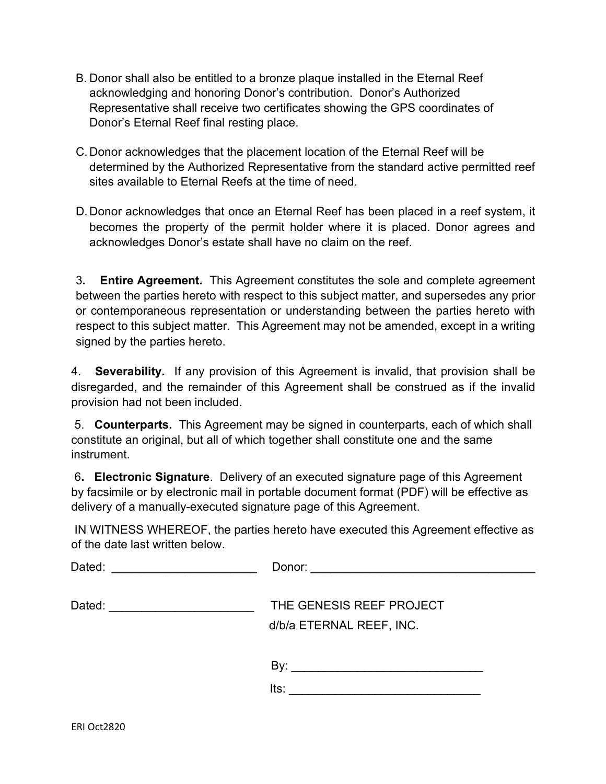- B. Donor shall also be entitled to a bronze plaque installed in the Eternal Reef acknowledging and honoring Donor's contribution. Donor's Authorized Representative shall receive two certificates showing the GPS coordinates of Donor's Eternal Reef final resting place.
- C. Donor acknowledges that the placement location of the Eternal Reef will be determined by the Authorized Representative from the standard active permitted reef sites available to Eternal Reefs at the time of need.
- D. Donor acknowledges that once an Eternal Reef has been placed in a reef system, it becomes the property of the permit holder where it is placed. Donor agrees and acknowledges Donor's estate shall have no claim on the reef.

3**. Entire Agreement.** This Agreement constitutes the sole and complete agreement between the parties hereto with respect to this subject matter, and supersedes any prior or contemporaneous representation or understanding between the parties hereto with respect to this subject matter. This Agreement may not be amended, except in a writing signed by the parties hereto.

4. **Severability.** If any provision of this Agreement is invalid, that provision shall be disregarded, and the remainder of this Agreement shall be construed as if the invalid provision had not been included.

5. **Counterparts.** This Agreement may be signed in counterparts, each of which shall constitute an original, but all of which together shall constitute one and the same instrument.

6**. Electronic Signature**. Delivery of an executed signature page of this Agreement by facsimile or by electronic mail in portable document format (PDF) will be effective as delivery of a manually-executed signature page of this Agreement.

IN WITNESS WHEREOF, the parties hereto have executed this Agreement effective as of the date last written below.

| Dated:                              | Donor:                   |
|-------------------------------------|--------------------------|
|                                     |                          |
| Dated:                              | THE GENESIS REEF PROJECT |
| <u> 1980 - Jan Barbarat, manala</u> | d/b/a ETERNAL REEF, INC. |
|                                     | By:<br>lts:              |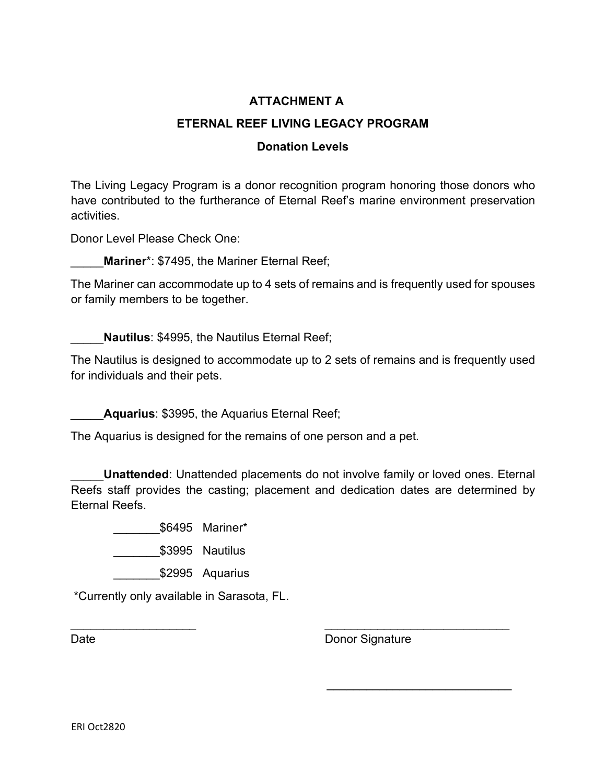### **ATTACHMENT A**

### **ETERNAL REEF LIVING LEGACY PROGRAM**

#### **Donation Levels**

The Living Legacy Program is a donor recognition program honoring those donors who have contributed to the furtherance of Eternal Reef's marine environment preservation activities.

Donor Level Please Check One:

Mariner<sup>\*</sup>: \$7495, the Mariner Eternal Reef;

The Mariner can accommodate up to 4 sets of remains and is frequently used for spouses or family members to be together.

\_\_\_\_\_**Nautilus**: \$4995, the Nautilus Eternal Reef;

The Nautilus is designed to accommodate up to 2 sets of remains and is frequently used for individuals and their pets.

Aquarius: \$3995, the Aquarius Eternal Reef;

The Aquarius is designed for the remains of one person and a pet.

**Unattended:** Unattended placements do not involve family or loved ones. Eternal Reefs staff provides the casting; placement and dedication dates are determined by Eternal Reefs.

 $\overline{\phantom{a}}$  , and the contract of the contract of the contract of the contract of the contract of the contract of the contract of the contract of the contract of the contract of the contract of the contract of the contrac

\_\_\_\_\_\_\_\$6495 Mariner\*

\_\_\_\_\_\_\_\$3995 Nautilus

\$2995 Aquarius

\*Currently only available in Sarasota, FL.

Date **Date** Donor Signature

 $\overline{\phantom{a}}$  , and the set of the set of the set of the set of the set of the set of the set of the set of the set of the set of the set of the set of the set of the set of the set of the set of the set of the set of the s